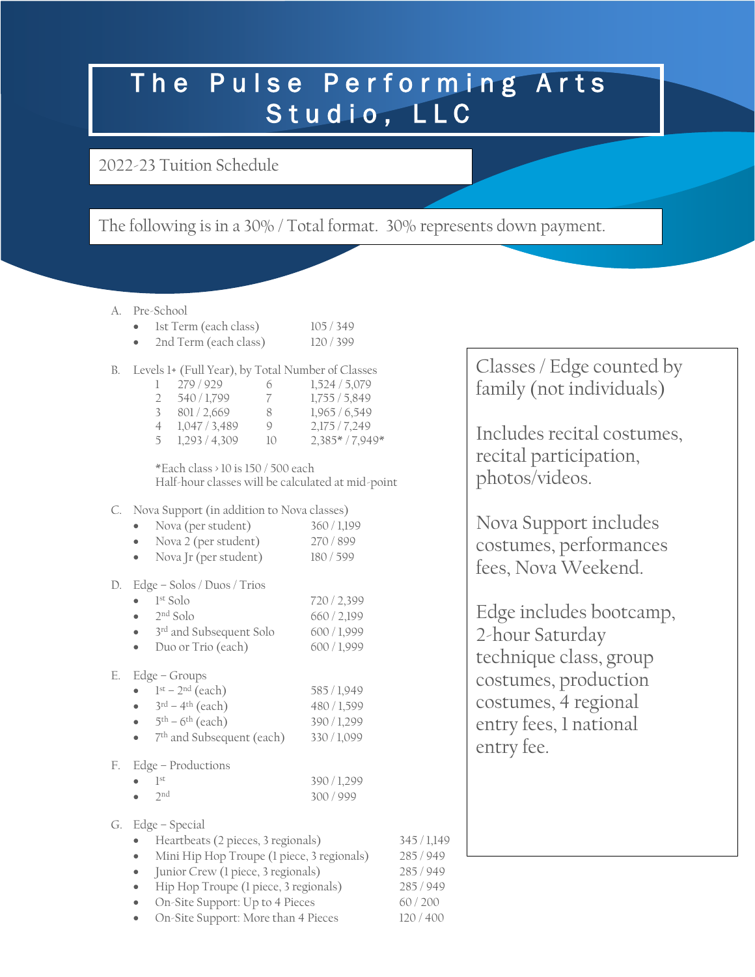## The Pulse Performing Arts Studio, LLC

2022-23 Tuition Schedule

The following is in a 30% / Total format. 30% represents down payment.

A. Pre-School

|  |  | 1st Term (each class) | 105/349 |
|--|--|-----------------------|---------|
|--|--|-----------------------|---------|

- 2nd Term (each class) 120 / 399
- B. Levels 1+ (Full Year), by Total Number of Classes

|               | 279/929     | 6  | 1,524/5,079       |
|---------------|-------------|----|-------------------|
| $\mathcal{L}$ | 540 / 1.799 | 7  | 1,755/5,849       |
| 3             | 801/2.669   | 8  | 1,965/6,549       |
| 4             | 1,047/3,489 | Q  | 2,175/7,249       |
| 5             | 1,293/4,309 | 10 | $2,385* / 7,949*$ |

\*Each class > 10 is 150 / 500 each Half-hour classes will be calculated at mid-point

C. Nova Support (in addition to Nova classes)

|           | Nova (per student)    | 360/1,199 |
|-----------|-----------------------|-----------|
|           | Nova 2 (per student)  | 270/899   |
| $\bullet$ | Nova Jr (per student) | 180/599   |

## D. Edge – Solos / Duos / Trios

| $\bullet$ | $1st$ Solo              | 720 / 2,399 |
|-----------|-------------------------|-------------|
| $\bullet$ | $2nd$ Solo              | 660/2.199   |
| $\bullet$ | 3rd and Subsequent Solo | 600/1,999   |
|           | Duo or Trio (each)      | 600/1,999   |
|           |                         |             |

## E. Edge – Groups

| $\bullet$ | $1st - 2nd$ (each)                     | 585 / 1,949 |
|-----------|----------------------------------------|-------------|
|           | $3^{\text{rd}} - 4^{\text{th}}$ (each) | 480 / 1,599 |
|           | $5th - 6th$ (each)                     | 390/1,299   |
|           | 7 <sup>th</sup> and Subsequent (each)  | 330/1,099   |
|           |                                        |             |

## F. Edge – Productions

| $\bullet$ 1st |               | 390 / 1,299 |
|---------------|---------------|-------------|
|               | $\bullet$ 2nd | 300/999     |

- G. Edge Special
	- Heartbeats (2 pieces, 3 regionals) 345 / 1,149
	- Mini Hip Hop Troupe (1 piece, 3 regionals) 285/949
	- Junior Crew (1 piece, 3 regionals) 285 / 949
	- Hip Hop Troupe (1 piece, 3 regionals) 285 / 949
	- On-Site Support: Up to 4 Pieces 60 / 200
	- On-Site Support: More than 4 Pieces 120 / 400

Classes / Edge counted by family (not individuals)

Includes recital costumes, recital participation, photos/videos.

Nova Support includes costumes, performances fees, Nova Weekend.

Edge includes bootcamp, 2-hour Saturday technique class, group costumes, production costumes, 4 regional entry fees, 1 national entry fee.